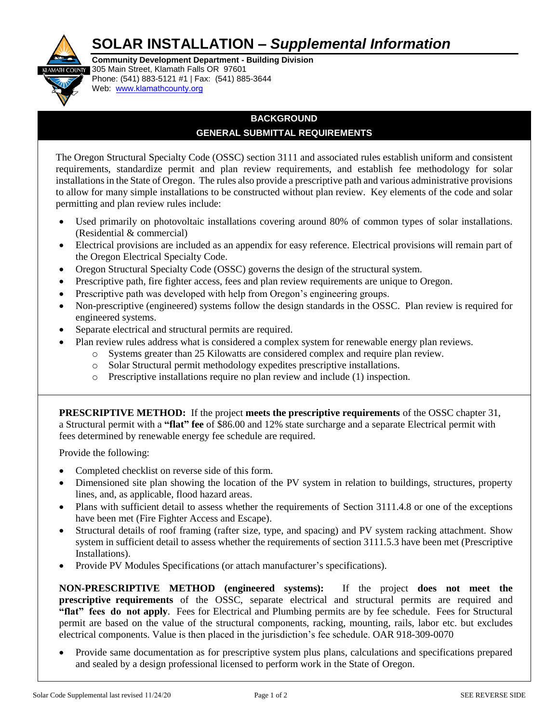## **SOLAR INSTALLATION –** *Supplemental Information*



**Community Development Department - Building Division H** COUNTY 305 Main Street, Klamath Falls OR 97601 Phone: (541) 883-5121 #1 | Fax: (541) 885-3644 Web: www.[klamathcounty.or](http://www.co.klamath.or.us/)g

## **BACKGROUND GENERAL SUBMITTAL REQUIREMENTS**

The Oregon Structural Specialty Code (OSSC) section 3111 and associated rules establish uniform and consistent requirements, standardize permit and plan review requirements, and establish fee methodology for solar installations in the State of Oregon. The rules also provide a prescriptive path and various administrative provisions to allow for many simple installations to be constructed without plan review. Key elements of the code and solar permitting and plan review rules include:

- Used primarily on photovoltaic installations covering around 80% of common types of solar installations. (Residential & commercial)
- Electrical provisions are included as an appendix for easy reference. Electrical provisions will remain part of the Oregon Electrical Specialty Code.
- Oregon Structural Specialty Code (OSSC) governs the design of the structural system.
- Prescriptive path, fire fighter access, fees and plan review requirements are unique to Oregon.
- Prescriptive path was developed with help from Oregon's engineering groups.
- Non-prescriptive (engineered) systems follow the design standards in the OSSC. Plan review is required for engineered systems.
- Separate electrical and structural permits are required.
	- Plan review rules address what is considered a complex system for renewable energy plan reviews.
		- o Systems greater than 25 Kilowatts are considered complex and require plan review.
		- o Solar Structural permit methodology expedites prescriptive installations.
		- o Prescriptive installations require no plan review and include (1) inspection.

**PRESCRIPTIVE METHOD:** If the project **meets the prescriptive requirements** of the OSSC chapter 31, a Structural permit with a **"flat" fee** of \$86.00 and 12% state surcharge and a separate Electrical permit with fees determined by renewable energy fee schedule are required.

Provide the following:

- Completed checklist on reverse side of this form.
- Dimensioned site plan showing the location of the PV system in relation to buildings, structures, property lines, and, as applicable, flood hazard areas.
- Plans with sufficient detail to assess whether the requirements of Section 3111.4.8 or one of the exceptions have been met (Fire Fighter Access and Escape).
- Structural details of roof framing (rafter size, type, and spacing) and PV system racking attachment. Show system in sufficient detail to assess whether the requirements of section 3111.5.3 have been met (Prescriptive Installations).
- Provide PV Modules Specifications (or attach manufacturer's specifications).

**NON-PRESCRIPTIVE METHOD (engineered systems):** If the project **does not meet the prescriptive requirements** of the OSSC, separate electrical and structural permits are required and **"flat" fees do not apply**. Fees for Electrical and Plumbing permits are by fee schedule. Fees for Structural permit are based on the value of the structural components, racking, mounting, rails, labor etc. but excludes electrical components. Value is then placed in the jurisdiction's fee schedule. OAR 918-309-0070

 Provide same documentation as for prescriptive system plus plans, calculations and specifications prepared and sealed by a design professional licensed to perform work in the State of Oregon.